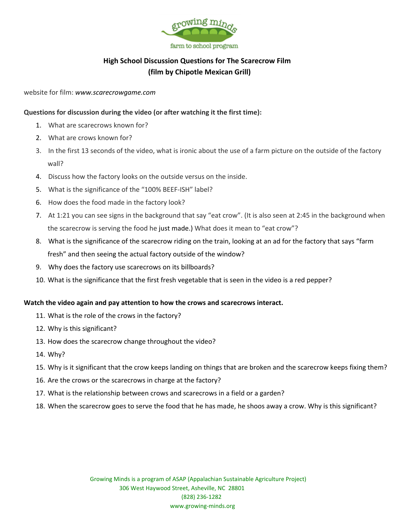

# **High School Discussion Questions for The Scarecrow Film (film by Chipotle Mexican Grill)**

website for film: *[www.scarecrowgame.com](http://www.google.com/url?q=http%3A%2F%2Fwww.scarecrowgame.com%2F&sa=D&sntz=1&usg=AFQjCNGmxQB29xsY0EA-ESCN73AAQJTq4w)*

## **Questions for discussion during the video (or after watching it the first time):**

- 1. What are scarecrows known for?
- 2. What are crows known for?
- 3. In the first 13 seconds of the video, what is ironic about the use of a farm picture on the outside of the factory wall?
- 4. Discuss how the factory looks on the outside versus on the inside.
- 5. What is the significance of the "100% BEEF-ISH" label?
- 6. How does the food made in the factory look?
- 7. At 1:21 you can see signs in the background that say "eat crow". (It is also seen at 2:45 in the background when the scarecrow is serving the food he just made.) What does it mean to "eat crow"?
- 8. What is the significance of the scarecrow riding on the train, looking at an ad for the factory that says "farm fresh" and then seeing the actual factory outside of the window?
- 9. Why does the factory use scarecrows on its billboards?
- 10. What is the significance that the first fresh vegetable that is seen in the video is a red pepper?

## **Watch the video again and pay attention to how the crows and scarecrows interact.**

- 11. What is the role of the crows in the factory?
- 12. Why is this significant?
- 13. How does the scarecrow change throughout the video?
- 14. Why?
- 15. Why is it significant that the crow keeps landing on things that are broken and the scarecrow keeps fixing them?
- 16. Are the crows or the scarecrows in charge at the factory?
- 17. What is the relationship between crows and scarecrows in a field or a garden?
- 18. When the scarecrow goes to serve the food that he has made, he shoos away a crow. Why is this significant?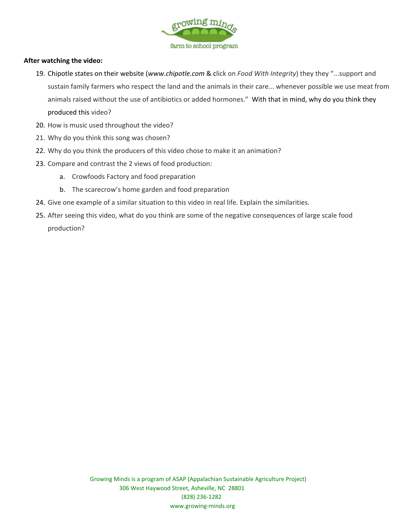

### **After watching the video:**

- 19. Chipotle states on their website (*[www.chipotle.com](http://www.google.com/url?q=http%3A%2F%2Fwww.chipotle.com&sa=D&sntz=1&usg=AFQjCNFibbvunXb6mzThYhuQeZinQCRIAw)* & click on *Food With Integrity*) they they "...support and sustain family farmers who respect the land and the animals in their care... whenever possible we use meat from animals raised without the use of antibiotics or added hormones." With that in mind, why do you think they produced this video?
- 20. How is music used throughout the video?
- 21. Why do you think this song was chosen?
- 22. Why do you think the producers of this video chose to make it an animation?
- 23. Compare and contrast the 2 views of food production:
	- a. Crowfoods Factory and food preparation
	- b. The scarecrow's home garden and food preparation
- 24. Give one example of a similar situation to this video in real life. Explain the similarities.
- 25. After seeing this video, what do you think are some of the negative consequences of large scale food production?